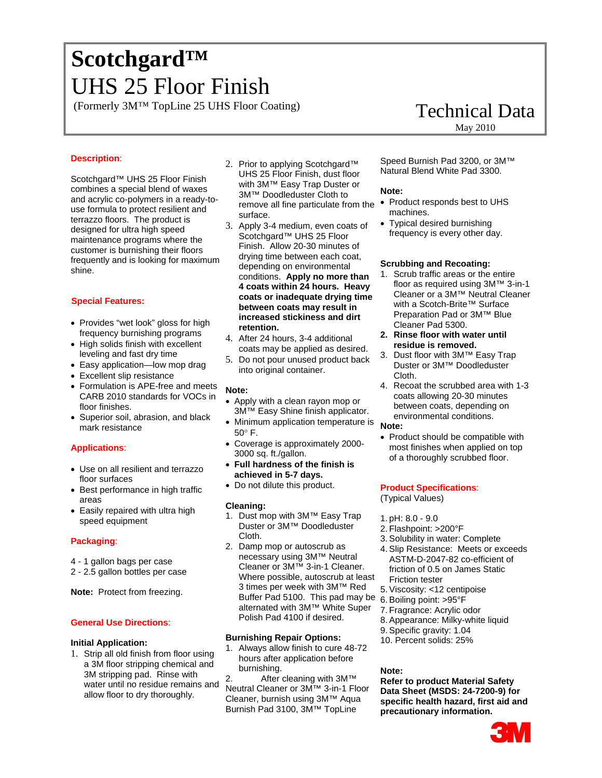# <sup>0</sup>**Scotchgard™**  <sup>1</sup>UHS 25 Floor Finish

(Formerly 3M™ TopLine 25 UHS Floor Coating) Technical Data

# **Description**:

Scotchgard™ UHS 25 Floor Finish combines a special blend of waxes and acrylic co-polymers in a ready-touse formula to protect resilient and terrazzo floors. The product is designed for ultra high speed maintenance programs where the customer is burnishing their floors frequently and is looking for maximum shine.

# <sup>6</sup>**Special Features:**

- Provides "wet look" gloss for high frequency burnishing programs
- High solids finish with excellent leveling and fast dry time
- Easy application—low mop drag
- Excellent slip resistance
- Formulation is APE-free and meets CARB 2010 standards for VOCs in floor finishes.
- Superior soil, abrasion, and black mark resistance

# **Applications**:

- Use on all resilient and terrazzo floor surfaces
- Best performance in high traffic areas
- Easily repaired with ultra high speed equipment

# **Packaging**:

- 4 1 gallon bags per case
- 2 2.5 gallon bottles per case

**Note:** Protect from freezing.

# **General Use Directions**:

# **Initial Application:**

1. Strip all old finish from floor using a 3M floor stripping chemical and 3M stripping pad. Rinse with water until no residue remains and allow floor to dry thoroughly.

- 2. Prior to applying Scotchgard™ UHS 25 Floor Finish, dust floor with 3M™ Easy Trap Duster or 3M™ Doodleduster Cloth to remove all fine particulate from the • Product responds best to UHS surface.
- 3. Apply 3-4 medium, even coats of Scotchgard™ UHS 25 Floor Finish. Allow 20-30 minutes of drying time between each coat, depending on environmental conditions. **Apply no more than 4 coats within 24 hours. Heavy coats or inadequate drying time between coats may result in increased stickiness and dirt retention.**
- 4. After 24 hours, 3-4 additional coats may be applied as desired.
- 5. Do not pour unused product back into original container.

# **Note:**

- Apply with a clean rayon mop or 3M™ Easy Shine finish applicator.
- Minimum application temperature is 50° F.
- Coverage is approximately 2000- 3000 sq. ft./gallon.
- **Full hardness of the finish is achieved in 5-7 days.**
- Do not dilute this product.

# **Cleaning:**

- 1. Dust mop with 3M™ Easy Trap Duster or 3M™ Doodleduster Cloth.
- 2. Damp mop or autoscrub as necessary using 3M™ Neutral Cleaner or 3M™ 3-in-1 Cleaner. Where possible, autoscrub at least 3 times per week with 3M™ Red Buffer Pad 5100. This pad may be alternated with 3M™ White Super Polish Pad 4100 if desired.

# **Burnishing Repair Options:**

1. Always allow finish to cure 48-72 hours after application before burnishing.

2. After cleaning with 3M™ Neutral Cleaner or 3M™ 3-in-1 Floor Cleaner, burnish using 3M™ Aqua Burnish Pad 3100, 3M™ TopLine

Speed Burnish Pad 3200, or 3M™ Natural Blend White Pad 3300.

# **Note:**

- machines.
- Typical desired burnishing frequency is every other day.

# **Scrubbing and Recoating:**

- 1. Scrub traffic areas or the entire floor as required using 3M™ 3-in-1 Cleaner or a 3M™ Neutral Cleaner with a Scotch-Brite™ Surface Preparation Pad or 3M™ Blue Cleaner Pad 5300.
- **2. Rinse floor with water until residue is removed.**
- 3. Dust floor with 3M™ Easy Trap Duster or 3M™ Doodleduster Cloth.
- 4. Recoat the scrubbed area with 1-3 coats allowing 20-30 minutes between coats, depending on environmental conditions.

# **Note:**

• Product should be compatible with most finishes when applied on top of a thoroughly scrubbed floor.

# **Product Specifications**:

(Typical Values)

- 1. pH: 8.0 9.0
- 2. Flashpoint: >200°F
- 3. Solubility in water: Complete
- 4. Slip Resistance: Meets or exceeds ASTM-D-2047-82 co-efficient of friction of 0.5 on James Static Friction tester
- 5. Viscosity: <12 centipoise
- 6. Boiling point: >95°F
- 7. Fragrance: Acrylic odor
- 8. Appearance: Milky-white liquid
- 9. Specific gravity: 1.04
- 10. Percent solids: 25%

# **Note:**

**Refer to product Material Safety Data Sheet (MSDS: 24-7200-9) for specific health hazard, first aid and precautionary information.**